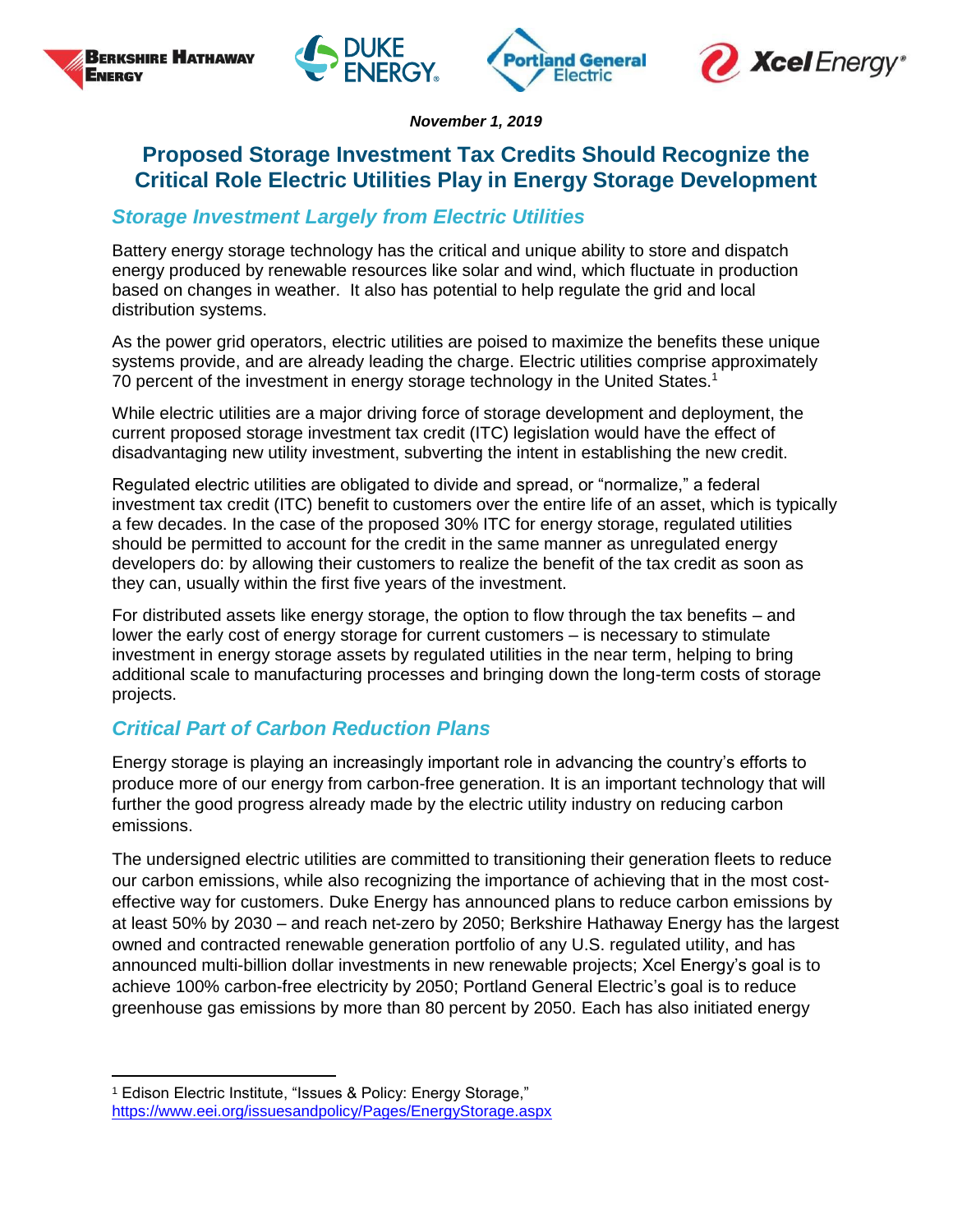





*November 1, 2019*

## **Proposed Storage Investment Tax Credits Should Recognize the Critical Role Electric Utilities Play in Energy Storage Development**

## *Storage Investment Largely from Electric Utilities*

Battery energy storage technology has the critical and unique ability to store and dispatch energy produced by renewable resources like solar and wind, which fluctuate in production based on changes in weather. It also has potential to help regulate the grid and local distribution systems.

As the power grid operators, electric utilities are poised to maximize the benefits these unique systems provide, and are already leading the charge. Electric utilities comprise approximately 70 percent of the investment in energy storage technology in the United States.<sup>1</sup>

While electric utilities are a major driving force of storage development and deployment, the current proposed storage investment tax credit (ITC) legislation would have the effect of disadvantaging new utility investment, subverting the intent in establishing the new credit.

Regulated electric utilities are obligated to divide and spread, or "normalize," a federal investment tax credit (ITC) benefit to customers over the entire life of an asset, which is typically a few decades. In the case of the proposed 30% ITC for energy storage, regulated utilities should be permitted to account for the credit in the same manner as unregulated energy developers do: by allowing their customers to realize the benefit of the tax credit as soon as they can, usually within the first five years of the investment.

For distributed assets like energy storage, the option to flow through the tax benefits – and lower the early cost of energy storage for current customers – is necessary to stimulate investment in energy storage assets by regulated utilities in the near term, helping to bring additional scale to manufacturing processes and bringing down the long-term costs of storage projects.

## *Critical Part of Carbon Reduction Plans*

Energy storage is playing an increasingly important role in advancing the country's efforts to produce more of our energy from carbon-free generation. It is an important technology that will further the good progress already made by the electric utility industry on reducing carbon emissions.

The undersigned electric utilities are committed to transitioning their generation fleets to reduce our carbon emissions, while also recognizing the importance of achieving that in the most costeffective way for customers. Duke Energy has announced plans to reduce carbon emissions by at least 50% by 2030 – and reach net-zero by 2050; Berkshire Hathaway Energy has the largest owned and contracted renewable generation portfolio of any U.S. regulated utility, and has announced multi-billion dollar investments in new renewable projects; Xcel Energy's goal is to achieve 100% carbon-free electricity by 2050; Portland General Electric's goal is to reduce greenhouse gas emissions by more than 80 percent by 2050. Each has also initiated energy

 $\overline{a}$ 

<sup>1</sup> Edison Electric Institute, "Issues & Policy: Energy Storage," https://www.eei.org/issuesandpolicy/Pages/EnergyStorage.aspx